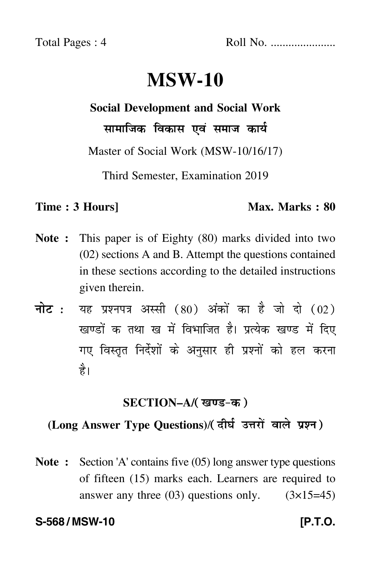# **MSW-10**

# **Social Development and Social Work**

सामाजिक विकास एवं समाज कार्य

Master of Social Work (MSW-10/16/17)

Third Semester, Examination 2019

### **Time : 3 Hours]** Max. Marks : 80

- **Note :** This paper is of Eighty (80) marks divided into two (02) sections A and B. Attempt the questions contained in these sections according to the detailed instructions given therein.
- नोट : यह प्रश्नपत्र अस्सी (80) अंकों का है जो दो (02) खण्डों क तथा ख में विभाजित है। प्रत्येक खण्ड में दिए गए विस्तृत निर्देशों के अनुसार ही प्रश्नों को हल करन<mark>ा</mark> है।

## **SECTION–A/**-

#### (Long Answer Type Questions)/( दीर्घ उत्तरों वाले प्रश्न )  $\overline{a}$

**Note :** Section 'A' contains five (05) long answer type questions of fifteen (15) marks each. Learners are required to answer any three  $(03)$  questions only.  $(3\times15=45)$ 

### **S-568 / MSW-10 [P.T.O.**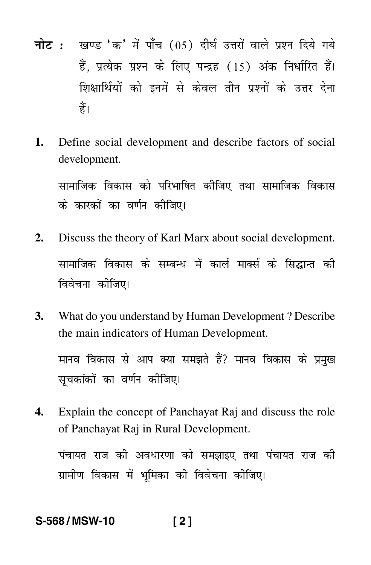- <mark>नोट</mark> : खण्ड 'क' में पाँच (05) दीर्घ उत्तरों वाले प्रश्न दिये गये हैं, प्रत्येक प्रश्न के लिए पन्द्रह (15) अंक निर्धारित हैं। शिक्षार्थियों को इनमें से केवल तीन प्रश्नों के उत्तर देना हैं।
- **1.** Define social development and describe factors of social development.

सामाजिक विकास को परिभाषित कीजिए तथा सामाजिक विकास --के कारकों का वर्णन कीजिए।

- **2.** Discuss the theory of Karl Marx about social development. सामाजिक विकास के सम्बन्ध में कार्ल मार्क्स के सिद्धान्त की विवेचना कीजिए।
- **3.** What do you understand by Human Development ? Describe the main indicators of Human Development.

मानव विकास से आप क्या समझते हैं? मानव विकास के प्रमुख सूचकांकों का वर्णन कीजिए।

**4.** Explain the concept of Panchayat Raj and discuss the role of Panchayat Raj in Rural Development.

पंचायत राज की अवधारणा को समझाइए तथा पंचायत राज की --ग्रामीण विकास में भूमिका की विवेचना कीजिए।

## **S-568 / MSW-10 [ 2 ]**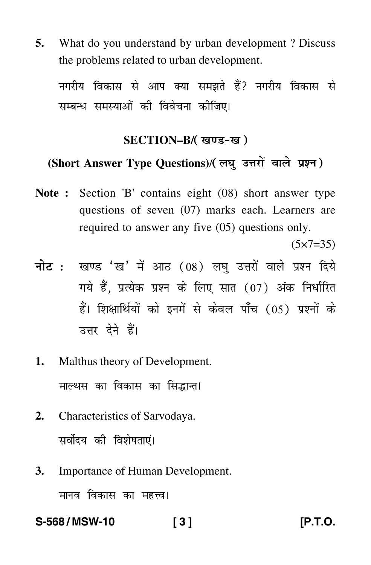**5.** What do you understand by urban development ? Discuss the problems related to urban development.

नगरीय विकास से आप क्या समझते हैं? नगरीय विकास से सम्बन्ध समस्याओं की विवेचना कीजिए।

## SECTION–B/( खण्ड-ख )

#### (Short Answer Type Questions)/(लघु उत्तरों वाले प्रश्न)  $\ddot{\phantom{a}}$

**Note :** Section 'B' contains eight (08) short answer type questions of seven (07) marks each. Learners are required to answer any five (05) questions only.

 $(5 \times 7 = 35)$ 

- <mark>नोट</mark> : खण्ड 'ख' में आठ (08) लघु उत्तरों वाले प्रश्न दिये गये हैं, प्रत्येक प्रश्न के लिए सात (07) अंक निर्धारित हैं। शिक्षार्थियों को इनमें से केवल पाँच (05) प्रश्नों के उत्तर देने हैं।
- **1.** Malthus theory of Development. माल्थस का विकास का सिद्<mark>धा</mark>न्त।
- **2.** Characteristics of Sarvodaya. सर्वोदय की विशेषताएं।
- **3.** Importance of Human Development. मानव विकास का महत्त्व<mark>।</mark>

**S-568 / MSW-10 [ 3 ] [P.T.O.**